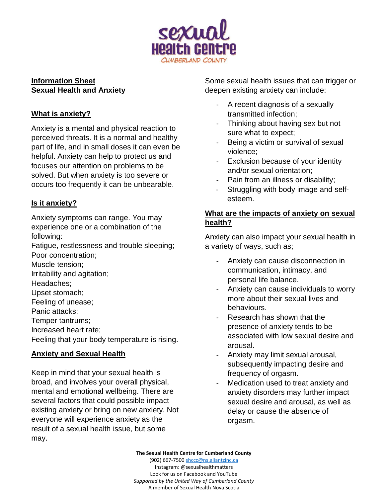

## **Information Sheet Sexual Health and Anxiety**

# **What is anxiety?**

Anxiety is a mental and physical reaction to perceived threats. It is a normal and healthy part of life, and in small doses it can even be helpful. Anxiety can help to protect us and focuses our attention on problems to be solved. But when anxiety is too severe or occurs too frequently it can be unbearable.

# **Is it anxiety?**

Anxiety symptoms can range. You may experience one or a combination of the following:

Fatigue, restlessness and trouble sleeping; Poor concentration;

Muscle tension;

Irritability and agitation;

Headaches;

Upset stomach;

Feeling of unease;

Panic attacks;

Temper tantrums;

Increased heart rate;

Feeling that your body temperature is rising.

# **Anxiety and Sexual Health**

Keep in mind that your sexual health is broad, and involves your overall physical, mental and emotional wellbeing. There are several factors that could possible impact existing anxiety or bring on new anxiety. Not everyone will experience anxiety as the result of a sexual health issue, but some may.

Some sexual health issues that can trigger or deepen existing anxiety can include:

- A recent diagnosis of a sexually transmitted infection;
- Thinking about having sex but not sure what to expect;
- Being a victim or survival of sexual violence;
- Exclusion because of your identity and/or sexual orientation;
- Pain from an illness or disability;
- Struggling with body image and selfesteem.

# **What are the impacts of anxiety on sexual health?**

Anxiety can also impact your sexual health in a variety of ways, such as;

- Anxiety can cause disconnection in communication, intimacy, and personal life balance.
- Anxiety can cause individuals to worry more about their sexual lives and behaviours.
- Research has shown that the presence of anxiety tends to be associated with low sexual desire and arousal.
- Anxiety may limit sexual arousal, subsequently impacting desire and frequency of orgasm.
- Medication used to treat anxiety and anxiety disorders may further impact sexual desire and arousal, as well as delay or cause the absence of orgasm.

**The Sexual Health Centre for Cumberland County**

(902) 667-750[0 shccc@ns.aliantzinc.ca](mailto:shccc@ns.aliantzinc.ca) Instagram: @sexualhealthmatters Look for us on Facebook and YouTube *Supported by the United Way of Cumberland County* A member of Sexual Health Nova Scotia